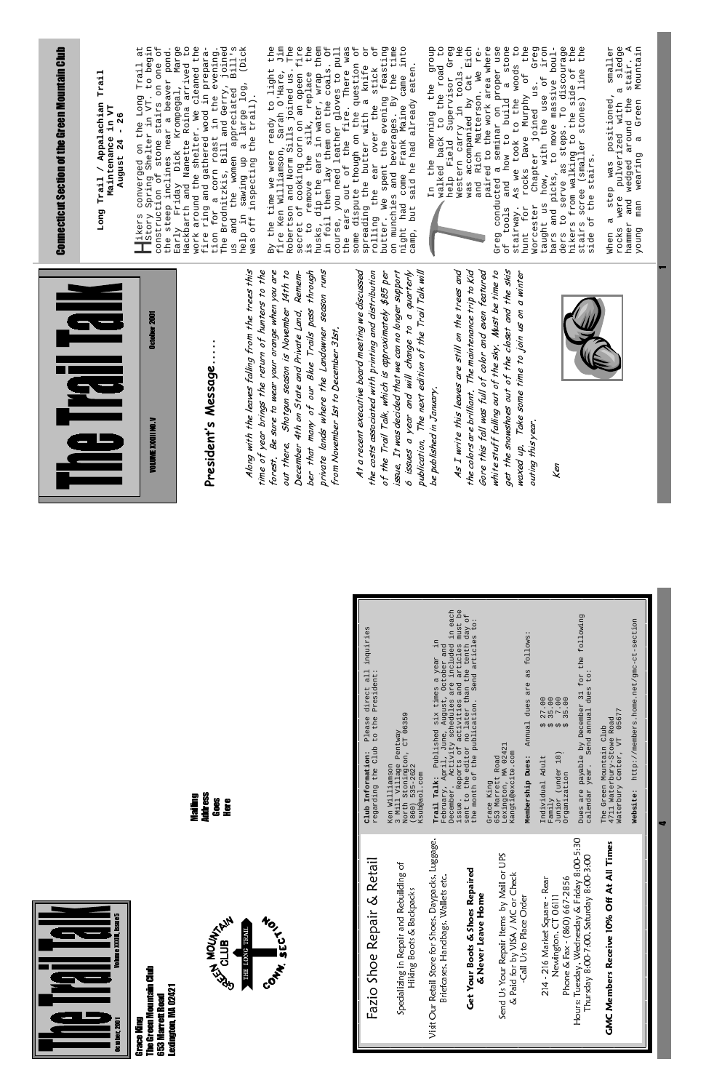| Instory Spring Shelter in VT. to begin<br>construction of stone stairs on one of<br>the steep inclines near a beaver pond.<br>Jim<br>is to remove the silk, replace the<br>husks, dip the ears in water, wrap them<br>in foil then lay them on the coals. Of<br>course, you need leather gloves to pull<br>the ears out of the fire. There was<br>at<br>B111s<br>Dick)<br>$\mathtt{The}$<br>fire<br>beaver pond.<br>pegal, Marge<br>the<br>$\overline{\mathsf{d}}$<br><b>Connecticut Section of the Green Mountain Club</b><br>Early Friday Dick Krompegal, Marge<br>Hackbarth and Nanette Roina arrived to<br>work around the shelter. We cleaned the<br>fire ring and gathered wood in prepara-<br>tion for a corn roast in the evening.<br>The Brodnitzkis, Bill and Gerr<br>converged on the Long Trail<br>Spring Shelter in VT. to bee<br>light<br>By the time we were ready to light<br>fire Ken Williamson, Sarah O'Hare,<br>Robertson and Norm Sills joined us.<br>secret of cooking corn on an opeen<br>Long Trail / Appalachian Trail<br>log <sub>1</sub><br>appreciated<br>nelp in sawing up a large lower that the trail).<br>Maintenance in VT<br>26<br>$\blacksquare$<br>out or<br>wite though on "<br>"tar w"<br>August 24<br>women<br>sawing<br>dispute<br>the<br>Hikers<br>and<br>help<br>some<br>αn | feasting<br>time<br>dnoz6<br>$\overline{C}$<br>Greg<br>H <sub>e</sub><br>the<br>the<br>the<br>sledge<br>stair. A<br>Mountain<br>RO<br>$\overline{5}$<br>into<br>was accompanied by Cat Eich<br>and Rich Matterson. We re-<br>paired to the work area where<br>conducted a seminar on proper use<br>ools and how to build a stone<br>way. As we took to the woods to<br>smaller<br>ruuns<br>Babater joined us.<br>Babater the use of iron<br>picks, to move massive boul-<br>picks, to move massive boul-<br>the road<br>te though on the question<br>the butter with a knife<br>eaten.<br>in tools.<br>side of<br>ss) line<br>stick<br><b>U</b><br>O<br>came<br>the<br>walked back to the road<br>help Field Supervisor<br>the<br>ർ<br>Murphy<br>rolling the ear over the s<br>butter. We spent the evening<br>on munchies and beverages. By<br>night had come Frank Maine c<br>camp, but said he had already<br>stones)<br>positioned,<br>around the<br>were pulverized with<br>Green<br>the<br>morning<br>Western carry<br>As we took t<br>rocks Dave<br>from walking to<br>$\sigma$<br>scree (smaller<br>wearing<br>stairs.<br>wedged<br>the<br>was<br>serve<br>the<br>step<br>Γn<br>the<br>>r-<br>rolling<br><sup>tolling</sup> We<br>and<br>man<br>g<br>Morcester<br>spreading<br>for<br>bars and<br>ders to s<br>tools<br>stairway.<br>$\overline{d}$<br>დ<br>hikers<br>taught<br>hammer<br>stairs<br>rocks<br>Anond<br>Greg<br>hunt<br>side<br>when<br><b>HO</b> |
|-----------------------------------------------------------------------------------------------------------------------------------------------------------------------------------------------------------------------------------------------------------------------------------------------------------------------------------------------------------------------------------------------------------------------------------------------------------------------------------------------------------------------------------------------------------------------------------------------------------------------------------------------------------------------------------------------------------------------------------------------------------------------------------------------------------------------------------------------------------------------------------------------------------------------------------------------------------------------------------------------------------------------------------------------------------------------------------------------------------------------------------------------------------------------------------------------------------------------------------------------------------------------------------------------------------------------|-------------------------------------------------------------------------------------------------------------------------------------------------------------------------------------------------------------------------------------------------------------------------------------------------------------------------------------------------------------------------------------------------------------------------------------------------------------------------------------------------------------------------------------------------------------------------------------------------------------------------------------------------------------------------------------------------------------------------------------------------------------------------------------------------------------------------------------------------------------------------------------------------------------------------------------------------------------------------------------------------------------------------------------------------------------------------------------------------------------------------------------------------------------------------------------------------------------------------------------------------------------------------------------------------------------------------------------------------------------------------------------------------------------------------------------------------------------------------|
| Along with the leaves falling from the trees this<br>Shotgun season is November 14th to<br>season runs<br>At a recent executive board meeting we discussed<br>time of year brings the return of hunters to the<br>sure to wear your orange when you are<br>ber that many of our Blue Trails pass through<br>Remem-<br><b>NBI ISLE</b><br>4th on State and Private Land.<br><b>October 2001</b><br>private lands where the Landowner<br>from November 1st to December 31st.<br>President's Message<br><b>VOLUME XXXIII NO. V</b><br>Be<br>out there.<br>December<br>forest.                                                                                                                                                                                                                                                                                                                                                                                                                                                                                                                                                                                                                                                                                                                                            | the colors are brilliant. The maintenance trip to Kid<br>Gore this fall was full of color and even featured<br>The next edition of the Trail Talk will<br>As I write this leaves are still on the trees and<br>white stuff falling out of the sky. Must be time to<br>get the snowshoes out of the closet and the skis<br>It was decided that we can no longer support<br>$6$ issues a year and will change to a quarterly<br>the costs associated with printing and distribution<br>Take some time to join us on a winter<br>of the Trail Talk, which is approximately \$85 per<br>be published in January.<br>year.<br>publication.<br>outing this<br>waxed up.<br>issue.<br>Ken                                                                                                                                                                                                                                                                                                                                                                                                                                                                                                                                                                                                                                                                                                                                                                                      |
| <b>Address</b><br>Naiing<br>Goes<br>Here                                                                                                                                                                                                                                                                                                                                                                                                                                                                                                                                                                                                                                                                                                                                                                                                                                                                                                                                                                                                                                                                                                                                                                                                                                                                              | . Reports of activities and articles must be<br>to the editor no later than the tenth day of<br>onth of the publication. Send articles to:<br>Activity schedules are included in each<br>for the following<br>, to:<br>http://members.home.net/gmc-ct-section<br>all inquiries<br>as follows:<br>$\overline{\text{m}}$<br>August, October and<br>Published six times a year<br>President:<br>are<br>dues<br>direct<br>31<br>$27.00$<br>$35.00$<br>$35.00$<br>dues<br>December<br>Send annual<br>05677<br>Village Pentway<br>tronington, CT 06359<br>regarding the Club to the<br>Please<br>The Green Mountain Club<br>4711 Waterbury-Stowe Road<br>Annua <sub>1</sub><br><b>02 02 02 02</b><br>February, April, June,<br>December. Activity scl<br>$\nabla T$<br>payable by<br>MA 02421<br>North Stonington,<br>(860) 535-2622<br>Waterbury Center,<br>Kangti@excite.com<br>Information:<br>Junior (under 18)<br>653 Marrett Road<br>Membership Dues:<br>Individual Adult<br>Williamson<br>year.<br>month of<br>Organization<br>$(860)$ $53$<br>Ksub@aol.com<br>Trail Talk:<br>Lexington,<br>Grace King<br>Dues are<br>calendar<br>Website:<br>$3$ Mill<br>Family<br>issue.<br>Club<br>sent<br>the m<br>Ken                                                                                                                                                                                                                                                             |



Grace King<br>The Green Mountain Club<br>653 Marrett Road<br>Lexington, MA 02421 The Green Mountain Club 053 Marrett Road Lexington, MA 02421



| Fazio Shoe Repair & Retail                                                                 | Club <sub>1</sub><br>regard                    |
|--------------------------------------------------------------------------------------------|------------------------------------------------|
| Specializing in Repair and Rebuilding of<br>Hiking Boots & Backpacks                       | Ken Wi<br>$3$ Mill<br>Ksub@a<br>North<br>(860) |
| Visit Our Retail Store for Shoes, Daypacks, Luggage,<br>Briefcases, Handbags, Wallets etc. | Februa<br>Decemb<br>Trail                      |
| Get Your Boots & Shoes Repaired<br>& Never Leave Home                                      | issue.<br>sent t<br>the mo                     |
| Send Us Your Repair Items by Mail or UPS<br>& Paid for by VISA / MC or Check               | 653 Ma<br>Lexing<br>Kangti<br>Grace            |
| -Call Us to Place Order                                                                    | Member                                         |
| Phone & Fax - (860) 667-2856<br>214 - 216 Market Square - Rear<br>Newington, CT 06111      | Indivi<br>Fam11<br>Junior<br>Organi            |
| Hours: Tuesday, Wednesday & Friday 8:00-5:30<br>Thursday 8:00-7:00, Saturday 8:00-3:00     | Dues a<br>calend                               |
| <b>GMC Members Receive 10% Off At All Times</b>                                            | The Gr<br>4711 V<br>Water                      |
|                                                                                            | Websit                                         |